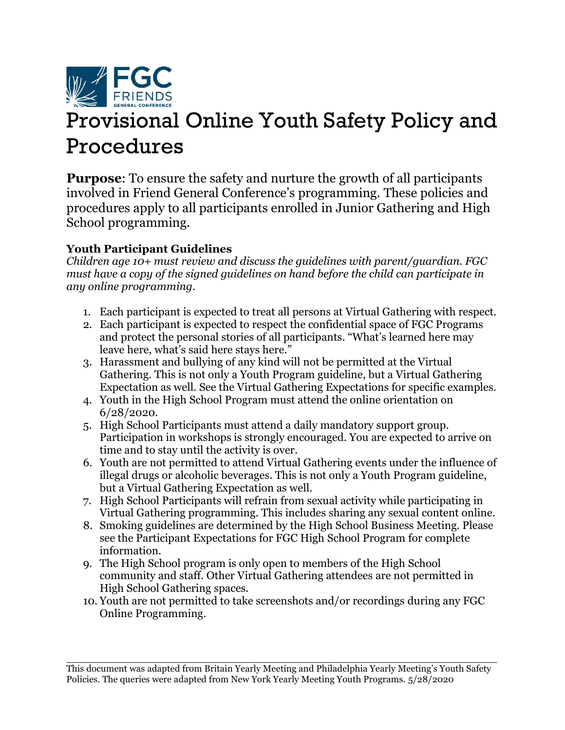

# Provisional Online Youth Safety Policy and Procedures

**Purpose**: To ensure the safety and nurture the growth of all participants involved in Friend General Conference's programming. These policies and procedures apply to all participants enrolled in Junior Gathering and High School programming.

# **Youth Participant Guidelines**

*Children age 10+ must review and discuss the guidelines with parent/guardian. FGC must have a copy of the signed guidelines on hand before the child can participate in any online programming*.

- 1. Each participant is expected to treat all persons at Virtual Gathering with respect.
- 2. Each participant is expected to respect the confidential space of FGC Programs and protect the personal stories of all participants. "What's learned here may leave here, what's said here stays here."
- 3. Harassment and bullying of any kind will not be permitted at the Virtual Gathering. This is not only a Youth Program guideline, but a Virtual Gathering Expectation as well. See the Virtual Gathering Expectations for specific examples.
- 4. Youth in the High School Program must attend the online orientation on 6/28/2020.
- 5. High School Participants must attend a daily mandatory support group. Participation in workshops is strongly encouraged. You are expected to arrive on time and to stay until the activity is over.
- 6. Youth are not permitted to attend Virtual Gathering events under the influence of illegal drugs or alcoholic beverages. This is not only a Youth Program guideline, but a Virtual Gathering Expectation as well.
- 7. High School Participants will refrain from sexual activity while participating in Virtual Gathering programming. This includes sharing any sexual content online.
- 8. Smoking guidelines are determined by the High School Business Meeting. Please see the [Participant Expectations for FGC High School Program](http://www.fgcquaker.org/sites/www.fgcquaker.org/files/attachments/Participant%20Expectations%20for%20FGC%20HS%20Program.pdf) for complete information.
- 9. The High School program is only open to members of the High School community and staff. Other Virtual Gathering attendees are not permitted in High School Gathering spaces.
- 10. Youth are not permitted to take screenshots and/or recordings during any FGC Online Programming.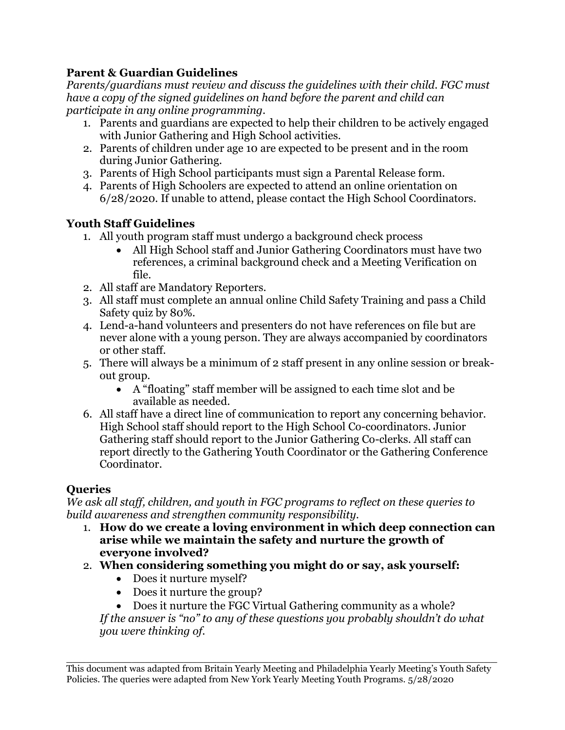## **Parent & Guardian Guidelines**

*Parents/guardians must review and discuss the guidelines with their child. FGC must have a copy of the signed guidelines on hand before the parent and child can participate in any online programming*.

- 1. Parents and guardians are expected to help their children to be actively engaged with Junior Gathering and High School activities.
- 2. Parents of children under age 10 are expected to be present and in the room during Junior Gathering.
- 3. Parents of High School participants must sign a Parental Release form.
- 4. Parents of High Schoolers are expected to attend an online orientation on 6/28/2020. If unable to attend, please contact the High School Coordinators.

# **Youth Staff Guidelines**

- 1. All youth program staff must undergo a background check process
	- All High School staff and Junior Gathering Coordinators must have two references, a criminal background check and a Meeting Verification on file.
- 2. All staff are Mandatory Reporters.
- 3. All staff must complete an annual online Child Safety Training and pass a Child Safety quiz by 80%.
- 4. Lend-a-hand volunteers and presenters do not have references on file but are never alone with a young person. They are always accompanied by coordinators or other staff.
- 5. There will always be a minimum of 2 staff present in any online session or breakout group.
	- A "floating" staff member will be assigned to each time slot and be available as needed.
- 6. All staff have a direct line of communication to report any concerning behavior. High School staff should report to the High School Co-coordinators. Junior Gathering staff should report to the Junior Gathering Co-clerks. All staff can report directly to the Gathering Youth Coordinator or the Gathering Conference Coordinator.

## **Queries**

*We ask all staff, children, and youth in FGC programs to reflect on these queries to build awareness and strengthen community responsibility.*

- 1. **How do we create a loving environment in which deep connection can arise while we maintain the safety and nurture the growth of everyone involved?**
- 2. **When considering something you might do or say, ask yourself:**
	- Does it nurture myself?
	- Does it nurture the group?
	- Does it nurture the FGC Virtual Gathering community as a whole?

*If the answer is "no" to any of these questions you probably shouldn't do what you were thinking of.*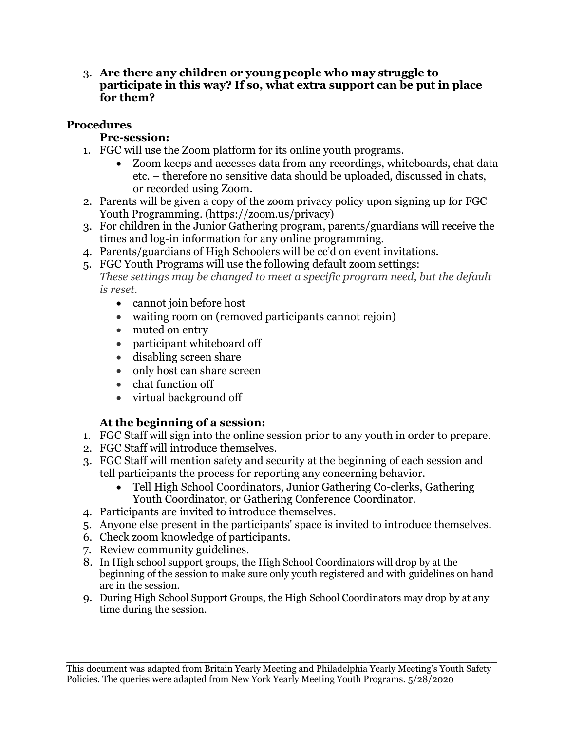3. **Are there any children or young people who may struggle to participate in this way? If so, what extra support can be put in place for them?**

## **Procedures**

#### **Pre-session:**

- 1. FGC will use the Zoom platform for its online youth programs.
	- Zoom keeps and accesses data from any recordings, whiteboards, chat data etc. – therefore no sensitive data should be uploaded, discussed in chats, or recorded using Zoom.
- 2. Parents will be given a copy of the zoom privacy policy upon signing up for FGC Youth Programming. (https://zoom.us/privacy)
- 3. For children in the Junior Gathering program, parents/guardians will receive the times and log-in information for any online programming.
- 4. Parents/guardians of High Schoolers will be cc'd on event invitations.
- 5. FGC Youth Programs will use the following default zoom settings: *These settings may be changed to meet a specific program need, but the default is reset.*
	- cannot join before host
	- waiting room on (removed participants cannot rejoin)
	- muted on entry
	- participant whiteboard off
	- disabling screen share
	- only host can share screen
	- chat function off
	- virtual background off

## **At the beginning of a session:**

- 1. FGC Staff will sign into the online session prior to any youth in order to prepare.
- 2. FGC Staff will introduce themselves.
- 3. FGC Staff will mention safety and security at the beginning of each session and tell participants the process for reporting any concerning behavior.
	- Tell High School Coordinators, Junior Gathering Co-clerks, Gathering Youth Coordinator, or Gathering Conference Coordinator.
- 4. Participants are invited to introduce themselves.
- 5. Anyone else present in the participants' space is invited to introduce themselves.
- 6. Check zoom knowledge of participants.
- 7. Review community guidelines.
- 8. In High school support groups, the High School Coordinators will drop by at the beginning of the session to make sure only youth registered and with guidelines on hand are in the session.
- 9. During High School Support Groups, the High School Coordinators may drop by at any time during the session.